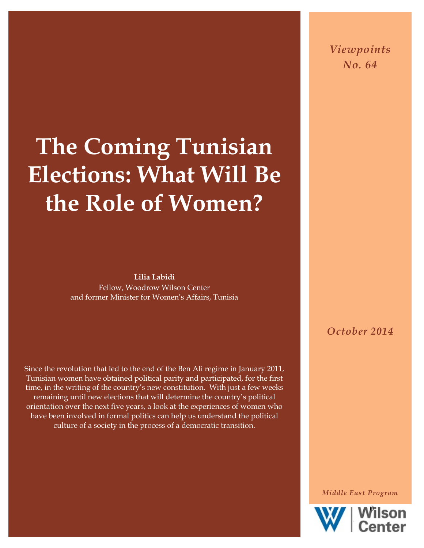## **The Coming Tunisian Elections: What Will Be the Role of Women?**

**Lilia Labidi** Fellow, Woodrow Wilson Center and former Minister for Women's Affairs, Tunisia

Since the revolution that led to the end of the Ben Ali regime in January 2011, Tunisian women have obtained political parity and participated, for the first time, in the writing of the country's new constitution. With just a few weeks remaining until new elections that will determine the country's political orientation over the next five years, a look at the experiences of women who have been involved in formal politics can help us understand the political culture of a society in the process of a democratic transition.

*Viewpoints No. 64*

*October 2014*

*Middle East Program*

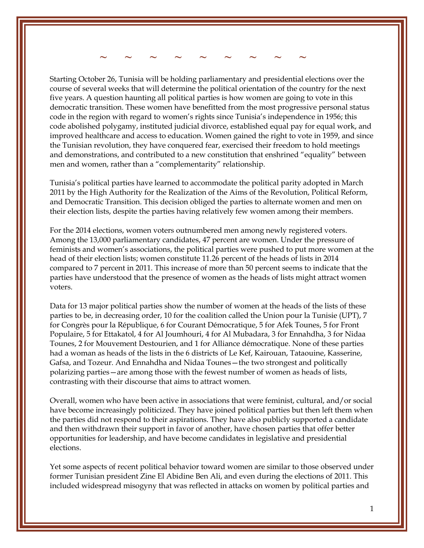**~ ~ ~ ~ ~ ~ ~ ~ ~**

Starting October 26, Tunisia will be holding parliamentary and presidential elections over the course of several weeks that will determine the political orientation of the country for the next five years. A question haunting all political parties is how women are going to vote in this democratic transition. These women have benefitted from the most progressive personal status code in the region with regard to women's rights since Tunisia's independence in 1956; this code abolished polygamy, instituted judicial divorce, established equal pay for equal work, and improved healthcare and access to education. Women gained the right to vote in 1959, and since the Tunisian revolution, they have conquered fear, exercised their freedom to hold meetings and demonstrations, and contributed to a new constitution that enshrined "equality" between men and women, rather than a "complementarity" relationship.

Tunisia's political parties have learned to accommodate the political parity adopted in March 2011 by the High Authority for the Realization of the Aims of the Revolution, Political Reform, and Democratic Transition. This decision obliged the parties to alternate women and men on their election lists, despite the parties having relatively few women among their members.

For the 2014 elections, women voters outnumbered men among newly registered voters. Among the 13,000 parliamentary candidates, 47 percent are women. Under the pressure of feminists and women's associations, the political parties were pushed to put more women at the head of their election lists; women constitute 11.26 percent of the heads of lists in 2014 compared to 7 percent in 2011. This increase of more than 50 percent seems to indicate that the parties have understood that the presence of women as the heads of lists might attract women voters.

Data for 13 major political parties show the number of women at the heads of the lists of these parties to be, in decreasing order, 10 for the coalition called the Union pour la Tunisie (UPT), 7 for Congrès pour la République, 6 for Courant Démocratique, 5 for Afek Tounes, 5 for Front Populaire, 5 for Ettakatol, 4 for Al Joumhouri, 4 for Al Mubadara, 3 for Ennahdha, 3 for Nidaa Tounes, 2 for Mouvement Destourien, and 1 for Alliance démocratique. None of these parties had a woman as heads of the lists in the 6 districts of Le Kef, Kairouan, Tataouine, Kasserine, Gafsa, and Tozeur. And Ennahdha and Nidaa Tounes—the two strongest and politically polarizing parties—are among those with the fewest number of women as heads of lists, contrasting with their discourse that aims to attract women.

Overall, women who have been active in associations that were feminist, cultural, and/or social have become increasingly politicized. They have joined political parties but then left them when the parties did not respond to their aspirations. They have also publicly supported a candidate and then withdrawn their support in favor of another, have chosen parties that offer better opportunities for leadership, and have become candidates in legislative and presidential elections.

Yet some aspects of recent political behavior toward women are similar to those observed under former Tunisian president Zine El Abidine Ben Ali, and even during the elections of 2011. This included widespread misogyny that was reflected in attacks on women by political parties and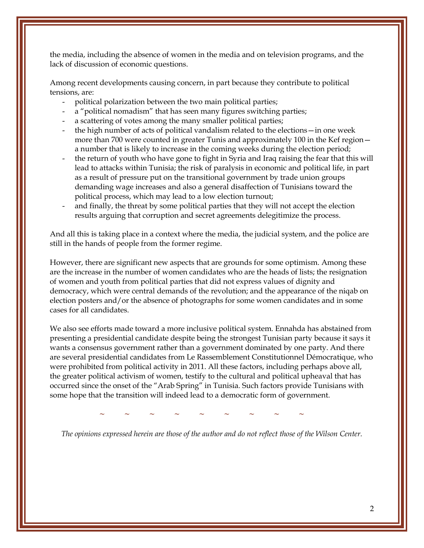the media, including the absence of women in the media and on television programs, and the lack of discussion of economic questions.

Among recent developments causing concern, in part because they contribute to political tensions, are:

- political polarization between the two main political parties;
- a "political nomadism" that has seen many figures switching parties;
- a scattering of votes among the many smaller political parties;
- the high number of acts of political vandalism related to the elections—in one week more than 700 were counted in greater Tunis and approximately 100 in the Kef region a number that is likely to increase in the coming weeks during the election period;
- the return of youth who have gone to fight in Syria and Iraq raising the fear that this will lead to attacks within Tunisia; the risk of paralysis in economic and political life, in part as a result of pressure put on the transitional government by trade union groups demanding wage increases and also a general disaffection of Tunisians toward the political process, which may lead to a low election turnout;
- and finally, the threat by some political parties that they will not accept the election results arguing that corruption and secret agreements delegitimize the process.

And all this is taking place in a context where the media, the judicial system, and the police are still in the hands of people from the former regime.

However, there are significant new aspects that are grounds for some optimism. Among these are the increase in the number of women candidates who are the heads of lists; the resignation of women and youth from political parties that did not express values of dignity and democracy, which were central demands of the revolution; and the appearance of the niqab on election posters and/or the absence of photographs for some women candidates and in some cases for all candidates.

We also see efforts made toward a more inclusive political system. Ennahda has abstained from presenting a presidential candidate despite being the strongest Tunisian party because it says it wants a consensus government rather than a government dominated by one party. And there are several presidential candidates from Le Rassemblement Constitutionnel Démocratique, who were prohibited from political activity in 2011. All these factors, including perhaps above all, the greater political activism of women, testify to the cultural and political upheaval that has occurred since the onset of the "Arab Spring" in Tunisia. Such factors provide Tunisians with some hope that the transition will indeed lead to a democratic form of government.

**~ ~ ~ ~ ~ ~ ~ ~ ~**

*The opinions expressed herein are those of the author and do not reflect those of the Wilson Center.*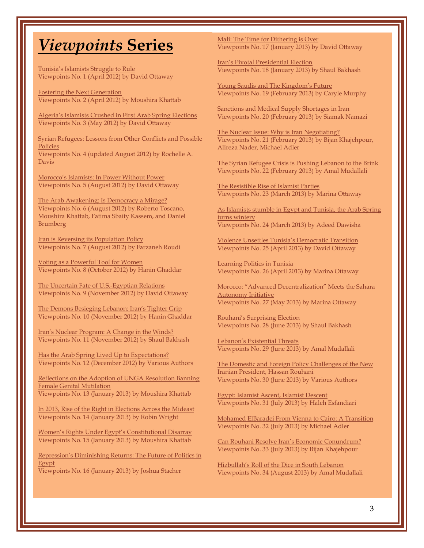## *Viewpoints* **Series**

[Tunisia's Islamists Struggle to Rule](http://www.wilsoncenter.org/publication/tunisia%E2%80%99s-islamists-struggle-to-rule) Viewpoints No. 1 (April 2012) by David Ottaway

[Fostering the Next Generation](http://www.wilsoncenter.org/publication/fostering-the-next-generation) Viewpoints No. 2 (April 2012) by Moushira Khattab

[Algeria's Islamists Crushed in First Arab Spring Elections](http://www.wilsoncenter.org/publication/algeria%E2%80%99s-islamists-crushed-first-arab-spring-elections) Viewpoints No. 3 (May 2012) by David Ottaway

[Syrian Refugees: Lessons from Other Conflicts and Possible](http://www.wilsoncenter.org/publication/syrian-refugees-lessons-other-conflicts-and-possible-policies)  [Policies](http://www.wilsoncenter.org/publication/syrian-refugees-lessons-other-conflicts-and-possible-policies) Viewpoints No. 4 (updated August 2012) by Rochelle A. Davis

[Morocco's Islamists: In Power Without Power](http://www.wilsoncenter.org/publication/morocco%E2%80%99s-islamists-power-without-power) Viewpoints No. 5 (August 2012) by David Ottaway

[The Arab Awakening: Is Democracy a Mirage?](http://www.wilsoncenter.org/publication/the-arab-awakening-democracy-mirage) Viewpoints No. 6 (August 2012) by Roberto Toscano, Moushira Khattab, Fatima Sbaity Kassem, and Daniel Brumberg

[Iran is Reversing its Population Policy](http://www.wilsoncenter.org/publication/iran-reversing-its-population-policy)  Viewpoints No. 7 (August 2012) by Farzaneh Roudi

[Voting as a Powerful Tool for Women](http://www.wilsoncenter.org/publication/voting-powerful-tool-for-women)  Viewpoints No. 8 (October 2012) by Hanin Ghaddar

[The Uncertain Fate of U.S.-Egyptian Relations](http://www.wilsoncenter.org/publication/the-uncertain-fate-us-egyptian-relations) Viewpoints No. 9 (November 2012) by David Ottaway

[The Demons Besieging Lebanon: Iran's Tighter Grip](http://www.wilsoncenter.org/publication/the-demons-besieging-lebanon-iran%E2%80%99s-tighter-grip)  Viewpoints No. 10 (November 2012) by Hanin Ghaddar

[Iran's Nuclear Program: A Change in the Winds?](http://www.wilsoncenter.org/publication/iran%E2%80%99s-nuclear-program-shift-the-winds)  Viewpoints No. 11 (November 2012) by Shaul Bakhash

[Has the Arab Spring Lived Up to Expectations?](http://www.wilsoncenter.org/publication/has-the-arab-spring-lived-to-expectations) Viewpoints No. 12 (December 2012) by Various Authors

[Reflections on the Adoption of UNGA Resolution Banning](http://www.wilsoncenter.org/publication/reflections-the-adoption-unga-resolution-banning-female-genital-mutilation)  [Female Genital Mutilation](http://www.wilsoncenter.org/publication/reflections-the-adoption-unga-resolution-banning-female-genital-mutilation) Viewpoints No. 13 (January 2013) by Moushira Khattab

[In 2013, Rise of the Right in Elections Across the Mideast](http://www.wilsoncenter.org/publication/2013-rise-the-right-elections-across-the-mideast) Viewpoints No. 14 (January 2013) by Robin Wright

[Women's Rights Under Egypt's Constitutional Disarray](http://www.wilsoncenter.org/publication/women%E2%80%99s-rights-under-egypt%E2%80%99s-constitutional-disarray) Viewpoints No. 15 (January 2013) by Moushira Khattab

[Repression's Diminishing Returns: The Future of Politics in](http://www.wilsoncenter.org/publication/repression%E2%80%99s-diminishing-returns-the-future-politics-egypt)  [Egypt](http://www.wilsoncenter.org/publication/repression%E2%80%99s-diminishing-returns-the-future-politics-egypt) Viewpoints No. 16 (January 2013) by Joshua Stacher

[Mali: The Time for Dithering is Over](http://www.wilsoncenter.org/publication/mali-the-time-for-dithering-over) Viewpoints No. 17 (January 2013) by David Ottaway

[Iran's Pivotal Presidential Election](http://www.wilsoncenter.org/publication/iran%E2%80%99s-pivotal-presidential-election) Viewpoints No. 18 (January 2013) by Shaul Bakhash

[Young Saudis and The Kingdom's Future](http://www.wilsoncenter.org/publication/young-saudis-and-the-kingdom%E2%80%99s-political-future) Viewpoints No. 19 (February 2013) by Caryle Murphy

[Sanctions and Medical Supply Shortages in Iran](http://www.wilsoncenter.org/publication/sanctions-and-medical-supply-shortages-iran) Viewpoints No. 20 (February 2013) by Siamak Namazi

[The Nuclear Issue: Why is Iran Negotiating?](http://www.wilsoncenter.org/publication/the-nuclear-issue-why-iran-negotiating) Viewpoints No. 21 (February 2013) by Bijan Khajehpour, Alireza Nader, Michael Adler

[The Syrian Refugee Crisis is Pushing Lebanon to the Brink](http://www.wilsoncenter.org/publication/the-syrian-refugee-crisis-pushing-lebanon-to-the-brink) Viewpoints No. 22 (February 2013) by Amal Mudallali

[The Resistible Rise of Islamist Parties](http://www.wilsoncenter.org/publication/the-resistible-rise-islamist-parties) Viewpoints No. 23 (March 2013) by Marina Ottaway

[As Islamists stumble in Egypt and Tunisia, the Arab Spring](http://www.wilsoncenter.org/publication/islamists-stumble-egypt-and-tunisia-the-arab-spring-turns-wintery)  [turns wintery](http://www.wilsoncenter.org/publication/islamists-stumble-egypt-and-tunisia-the-arab-spring-turns-wintery) Viewpoints No. 24 (March 2013) by Adeed Dawisha

[Violence Unsettles Tunisia's Democratic Transition](http://www.wilsoncenter.org/publication/violence-unsettles-tunisia%E2%80%99s-democratic-transition) Viewpoints No. 25 (April 2013) by David Ottaway

[Learning Politics in Tunisia](http://www.wilsoncenter.org/publication/learning-politics-tunisia) Viewpoints No. 26 (April 2013) by Marina Ottaway

Morocco: "Advanced Decentralization" Meets the Sahara [Autonomy Initiative](http://www.wilsoncenter.org/publication/morocco-%E2%80%9Cadvanced-decentralization%E2%80%9D-meets-the-sahara-autonomy-initiative) Viewpoints No. 27 (May 2013) by Marina Ottaway

[Rouhani's Surprising Election](http://www.wilsoncenter.org/publication/rouhanis-surprising-election) Viewpoints No. 28 (June 2013) by Shaul Bakhash

[Lebanon's Existential Threats](http://www.wilsoncenter.org/publication/lebanons-existential-threats) Viewpoints No. 29 (June 2013) by Amal Mudallali

[The Domestic and Foreign Policy Challenges of the New](http://www.wilsoncenter.org/publication/the-domestic-and-foreign-policy-challenges-the-new-iranian-president-hassan-rouhani)  [Iranian President, Hassan](http://www.wilsoncenter.org/publication/the-domestic-and-foreign-policy-challenges-the-new-iranian-president-hassan-rouhani) [Rouhani](http://www.wilsoncenter.org/publication/the-domestic-and-foreign-policy-challenges-the-new-iranian-president-hassan-rouhani) Viewpoints No. 30 (June 2013) by Various Authors

[Egypt: Islamist Ascent, Islamist Descent](http://www.wilsoncenter.org/publication/egypt-islamist-ascent-islamist-descent) Viewpoints No. 31 (July 2013) by Haleh Esfandiari

[Mohamed ElBaradei From Vienna to Cairo: A Transition](http://www.wilsoncenter.org/publication/mohamed-elbaradei-vienna-to-cairo-transition) Viewpoints No. 32 (July 2013) by Michael Adler

[Can Rouhani Resolve Iran's Economic Conundrum?](http://www.wilsoncenter.org/publication/can-rouhani-resolve-iran%E2%80%99s-economic-conundrum) Viewpoints No. 33 (July 2013) by Bijan Khajehpour

[Hizbullah's Roll of the Dice in South Lebanon](http://www.wilsoncenter.org/publication/hizbullah%E2%80%99s-roll-the-dice-south-lebanon) Viewpoints No. 34 (August 2013) by Amal Mudallali